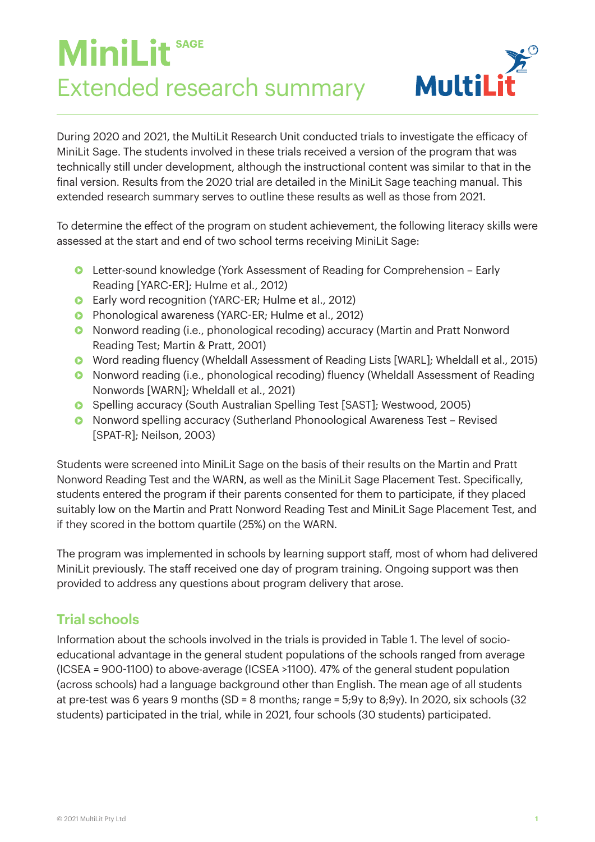# **MiniLit sage** Extended research summary



During 2020 and 2021, the MultiLit Research Unit conducted trials to investigate the efficacy of MiniLit Sage. The students involved in these trials received a version of the program that was technically still under development, although the instructional content was similar to that in the final version. Results from the 2020 trial are detailed in the MiniLit Sage teaching manual. This extended research summary serves to outline these results as well as those from 2021.

To determine the effect of the program on student achievement, the following literacy skills were assessed at the start and end of two school terms receiving MiniLit Sage:

- Letter-sound knowledge (York Assessment of Reading for Comprehension Early Reading [YARC-ER]; Hulme et al., 2012)
- **•** Early word recognition (YARC-ER; Hulme et al., 2012)
- **•** Phonological awareness (YARC-ER; Hulme et al., 2012)
- Nonword reading (i.e., phonological recoding) accuracy (Martin and Pratt Nonword Reading Test; Martin & Pratt, 2001)
- Word reading fluency (Wheldall Assessment of Reading Lists [WARL]; Wheldall et al., 2015)
- Nonword reading (i.e., phonological recoding) fluency (Wheldall Assessment of Reading Nonwords [WARN]; Wheldall et al., 2021)
- **•** Spelling accuracy (South Australian Spelling Test [SAST]; Westwood, 2005)
- Nonword spelling accuracy (Sutherland Phonoological Awareness Test Revised [SPAT-R]; Neilson, 2003)

Students were screened into MiniLit Sage on the basis of their results on the Martin and Pratt Nonword Reading Test and the WARN, as well as the MiniLit Sage Placement Test. Specifically, students entered the program if their parents consented for them to participate, if they placed suitably low on the Martin and Pratt Nonword Reading Test and MiniLit Sage Placement Test, and if they scored in the bottom quartile (25%) on the WARN.

The program was implemented in schools by learning support staff, most of whom had delivered MiniLit previously. The staff received one day of program training. Ongoing support was then provided to address any questions about program delivery that arose.

# **Trial schools**

Information about the schools involved in the trials is provided in Table 1. The level of socioeducational advantage in the general student populations of the schools ranged from average (ICSEA = 900-1100) to above-average (ICSEA >1100). 47% of the general student population (across schools) had a language background other than English. The mean age of all students at pre-test was 6 years 9 months (SD = 8 months; range = 5;9y to 8;9y). In 2020, six schools (32 students) participated in the trial, while in 2021, four schools (30 students) participated.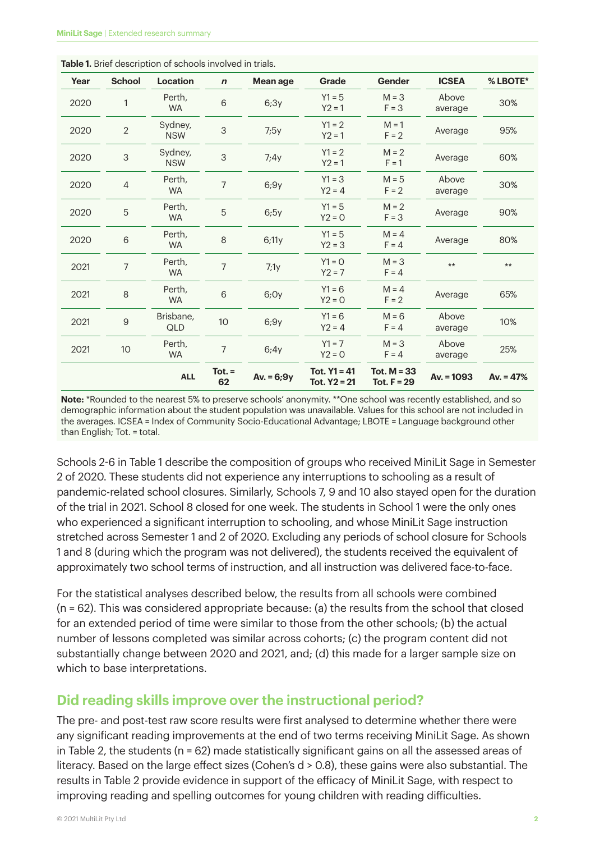| Year | <b>School</b>  | Location              | $\boldsymbol{n}$ | Mean age     | Grade                            | Gender                         | <b>ICSEA</b>     | % LBOTE*    |
|------|----------------|-----------------------|------------------|--------------|----------------------------------|--------------------------------|------------------|-------------|
| 2020 | 1              | Perth,<br><b>WA</b>   | 6                | 6:3y         | $Y1 = 5$<br>$Y2 = 1$             | $M = 3$<br>$F = 3$             | Above<br>average | 30%         |
| 2020 | $\overline{2}$ | Sydney,<br><b>NSW</b> | 3                | 7:5y         | $Y1 = 2$<br>$Y2 = 1$             | $M = 1$<br>$F = 2$             | Average          | 95%         |
| 2020 | $\sqrt{3}$     | Sydney,<br><b>NSW</b> | 3                | 7:4y         | $Y1 = 2$<br>$Y2 = 1$             | $M = 2$<br>$F = 1$             | Average          | 60%         |
| 2020 | $\overline{4}$ | Perth,<br><b>WA</b>   | $\overline{7}$   | 6,9y         | $Y1 = 3$<br>$Y2 = 4$             | $M = 5$<br>$F = 2$             | Above<br>average | 30%         |
| 2020 | 5              | Perth,<br><b>WA</b>   | 5                | 6,5y         | $Y1 = 5$<br>$Y2 = 0$             | $M = 2$<br>$F = 3$             | Average          | 90%         |
| 2020 | $\,$ 6 $\,$    | Perth,<br><b>WA</b>   | 8                | 6:11y        | $Y1 = 5$<br>$Y2 = 3$             | $M = 4$<br>$F = 4$             | Average          | 80%         |
| 2021 | $\overline{7}$ | Perth,<br><b>WA</b>   | $\overline{7}$   | 7:1y         | $Y1 = 0$<br>$Y2 = 7$             | $M = 3$<br>$F = 4$             | $\star\star$     | $***$       |
| 2021 | 8              | Perth,<br>WA          | 6                | 6,0y         | $Y1 = 6$<br>$Y2 = 0$             | $M = 4$<br>$F = 2$             | Average          | 65%         |
| 2021 | $\hbox{9}$     | Brisbane,<br>QLD      | $10$             | 6,9y         | $Y1 = 6$<br>$Y2 = 4$             | $M = 6$<br>$F = 4$             | Above<br>average | 10%         |
| 2021 | 10             | Perth,<br><b>WA</b>   | $\overline{7}$   | 6:4y         | $Y1 = 7$<br>$Y2 = 0$             | $M = 3$<br>$F = 4$             | Above<br>average | 25%         |
|      |                | <b>ALL</b>            | $Tot. =$<br>62   | $Av. = 6;9y$ | Tot. $Y1 = 41$<br>Tot. $Y2 = 21$ | Tot. $M = 33$<br>Tot. $F = 29$ | $Av. = 1093$     | Av. $= 47%$ |

**Table 1.** Brief description of schools involved in trials.

**Note:** \*Rounded to the nearest 5% to preserve schools' anonymity. \*\*One school was recently established, and so demographic information about the student population was unavailable. Values for this school are not included in the averages. ICSEA = Index of Community Socio-Educational Advantage; LBOTE = Language background other than English; Tot. = total.

Schools 2-6 in Table 1 describe the composition of groups who received MiniLit Sage in Semester 2 of 2020. These students did not experience any interruptions to schooling as a result of pandemic-related school closures. Similarly, Schools 7, 9 and 10 also stayed open for the duration of the trial in 2021. School 8 closed for one week. The students in School 1 were the only ones who experienced a significant interruption to schooling, and whose MiniLit Sage instruction stretched across Semester 1 and 2 of 2020. Excluding any periods of school closure for Schools 1 and 8 (during which the program was not delivered), the students received the equivalent of approximately two school terms of instruction, and all instruction was delivered face-to-face.

For the statistical analyses described below, the results from all schools were combined (n = 62). This was considered appropriate because: (a) the results from the school that closed for an extended period of time were similar to those from the other schools; (b) the actual number of lessons completed was similar across cohorts; (c) the program content did not substantially change between 2020 and 2021, and; (d) this made for a larger sample size on which to base interpretations.

### **Did reading skills improve over the instructional period?**

The pre- and post-test raw score results were first analysed to determine whether there were any significant reading improvements at the end of two terms receiving MiniLit Sage. As shown in Table 2, the students ( $n = 62$ ) made statistically significant gains on all the assessed areas of literacy. Based on the large effect sizes (Cohen's d > 0.8), these gains were also substantial. The results in Table 2 provide evidence in support of the efficacy of MiniLit Sage, with respect to improving reading and spelling outcomes for young children with reading difficulties.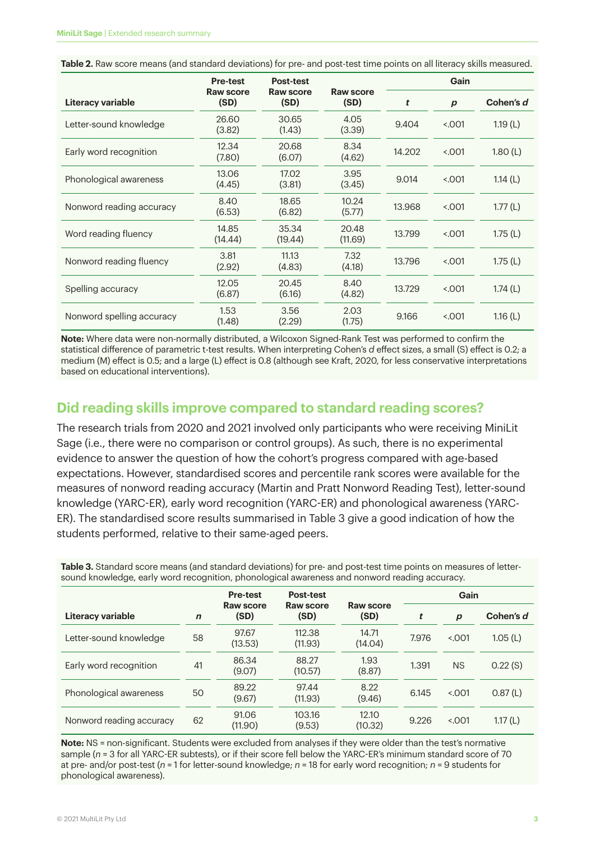| <b>Table 2.</b> Raw score means (and standard deviations) for pre- and post-test time points on all literacy skills measured. |  |  |
|-------------------------------------------------------------------------------------------------------------------------------|--|--|
|                                                                                                                               |  |  |

|                           | <b>Pre-test</b>   | <b>Post-test</b>         |                   | Gain   |                  |            |  |
|---------------------------|-------------------|--------------------------|-------------------|--------|------------------|------------|--|
| Literacy variable         | Raw score<br>(SD) | <b>Raw score</b><br>(SD) | Raw score<br>(SD) | t      | $\boldsymbol{p}$ | Cohen's d  |  |
| Letter-sound knowledge    | 26.60<br>(3.82)   | 30.65<br>(1.43)          | 4.05<br>(3.39)    | 9.404  | < 0.001          | 1.19(L)    |  |
| Early word recognition    | 12.34<br>(7.80)   | 20.68<br>(6.07)          | 8.34<br>(4.62)    | 14.202 | 5.001            | 1.80(L)    |  |
| Phonological awareness    | 13.06<br>(4.45)   | 17.02<br>(3.81)          | 3.95<br>(3.45)    | 9.014  | 5.001            | 1.14 $(L)$ |  |
| Nonword reading accuracy  | 8.40<br>(6.53)    | 18.65<br>(6.82)          | 10.24<br>(5.77)   | 13.968 | 5.001            | 1.77(L)    |  |
| Word reading fluency      | 14.85<br>(14.44)  | 35.34<br>(19.44)         | 20.48<br>(11.69)  | 13.799 | < 0.001          | 1.75(L)    |  |
| Nonword reading fluency   | 3.81<br>(2.92)    | 11.13<br>(4.83)          | 7.32<br>(4.18)    | 13.796 | < 0.001          | 1.75(L)    |  |
| Spelling accuracy         | 12.05<br>(6.87)   | 20.45<br>(6.16)          | 8.40<br>(4.82)    | 13.729 | < 0.001          | 1.74(L)    |  |
| Nonword spelling accuracy | 1.53<br>(1.48)    | 3.56<br>(2.29)           | 2.03<br>(1.75)    | 9.166  | < 0.001          | 1.16 $(L)$ |  |

**Note:** Where data were non-normally distributed, a Wilcoxon Signed-Rank Test was performed to confirm the statistical difference of parametric t-test results. When interpreting Cohen's *d* effect sizes, a small (S) effect is 0.2; a medium (M) effect is 0.5; and a large (L) effect is 0.8 (although see Kraft, 2020, for less conservative interpretations based on educational interventions).

#### **Did reading skills improve compared to standard reading scores?**

The research trials from 2020 and 2021 involved only participants who were receiving MiniLit Sage (i.e., there were no comparison or control groups). As such, there is no experimental evidence to answer the question of how the cohort's progress compared with age-based expectations. However, standardised scores and percentile rank scores were available for the measures of nonword reading accuracy (Martin and Pratt Nonword Reading Test), letter-sound knowledge (YARC-ER), early word recognition (YARC-ER) and phonological awareness (YARC-ER). The standardised score results summarised in Table 3 give a good indication of how the students performed, relative to their same-aged peers.

**Table 3.** Standard score means (and standard deviations) for pre- and post-test time points on measures of lettersound knowledge, early word recognition, phonological awareness and nonword reading accuracy.

|                          |             | <b>Pre-test</b>   | Post-test         |                   | Gain  |                  |           |
|--------------------------|-------------|-------------------|-------------------|-------------------|-------|------------------|-----------|
| Literacy variable        | $\mathbf n$ | Raw score<br>(SD) | Raw score<br>(SD) | Raw score<br>(SD) | t     | $\boldsymbol{p}$ | Cohen's d |
| Letter-sound knowledge   | 58          | 97.67<br>(13.53)  | 112.38<br>(11.93) | 14.71<br>(14.04)  | 7.976 | < 0.001          | 1.05(L)   |
| Early word recognition   | 41          | 86.34<br>(9.07)   | 88.27<br>(10.57)  | 1.93<br>(8.87)    | 1.391 | <b>NS</b>        | 0.22(S)   |
| Phonological awareness   | 50          | 89.22<br>(9.67)   | 97.44<br>(11.93)  | 8.22<br>(9.46)    | 6.145 | < 0.001          | 0.87(L)   |
| Nonword reading accuracy | 62          | 91.06<br>(11.90)  | 103.16<br>(9.53)  | 12.10<br>(10.32)  | 9.226 | < 0.001          | 1.17(L)   |

**Note:** NS = non-significant. Students were excluded from analyses if they were older than the test's normative sample (*n* = 3 for all YARC-ER subtests), or if their score fell below the YARC-ER's minimum standard score of 70 at pre- and/or post-test (*n* = 1 for letter-sound knowledge; *n* = 18 for early word recognition; *n* = 9 students for phonological awareness).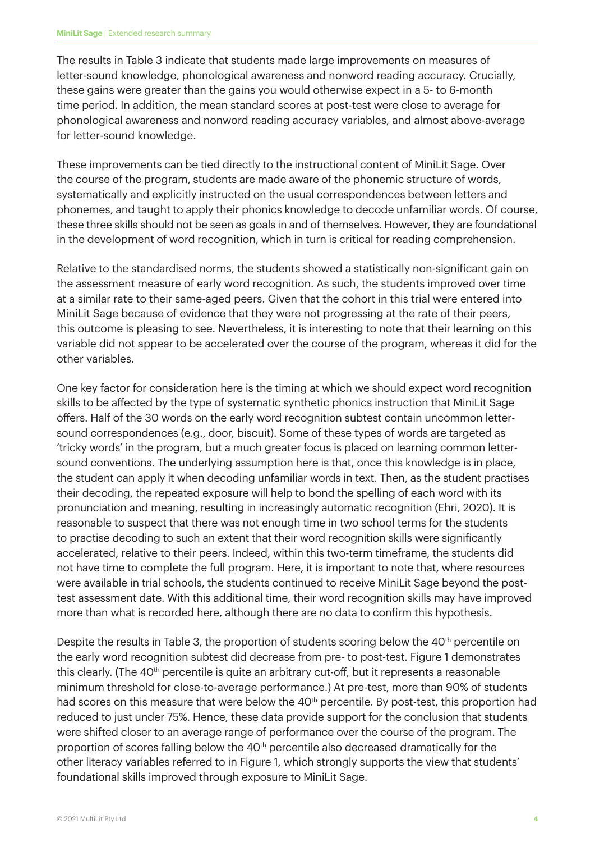The results in Table 3 indicate that students made large improvements on measures of letter-sound knowledge, phonological awareness and nonword reading accuracy. Crucially, these gains were greater than the gains you would otherwise expect in a 5- to 6-month time period. In addition, the mean standard scores at post-test were close to average for phonological awareness and nonword reading accuracy variables, and almost above-average for letter-sound knowledge.

These improvements can be tied directly to the instructional content of MiniLit Sage. Over the course of the program, students are made aware of the phonemic structure of words, systematically and explicitly instructed on the usual correspondences between letters and phonemes, and taught to apply their phonics knowledge to decode unfamiliar words. Of course, these three skills should not be seen as goals in and of themselves. However, they are foundational in the development of word recognition, which in turn is critical for reading comprehension.

Relative to the standardised norms, the students showed a statistically non-significant gain on the assessment measure of early word recognition. As such, the students improved over time at a similar rate to their same-aged peers. Given that the cohort in this trial were entered into MiniLit Sage because of evidence that they were not progressing at the rate of their peers, this outcome is pleasing to see. Nevertheless, it is interesting to note that their learning on this variable did not appear to be accelerated over the course of the program, whereas it did for the other variables.

One key factor for consideration here is the timing at which we should expect word recognition skills to be affected by the type of systematic synthetic phonics instruction that MiniLit Sage offers. Half of the 30 words on the early word recognition subtest contain uncommon lettersound correspondences (e.g., door, biscuit). Some of these types of words are targeted as 'tricky words' in the program, but a much greater focus is placed on learning common lettersound conventions. The underlying assumption here is that, once this knowledge is in place, the student can apply it when decoding unfamiliar words in text. Then, as the student practises their decoding, the repeated exposure will help to bond the spelling of each word with its pronunciation and meaning, resulting in increasingly automatic recognition (Ehri, 2020). It is reasonable to suspect that there was not enough time in two school terms for the students to practise decoding to such an extent that their word recognition skills were significantly accelerated, relative to their peers. Indeed, within this two-term timeframe, the students did not have time to complete the full program. Here, it is important to note that, where resources were available in trial schools, the students continued to receive MiniLit Sage beyond the posttest assessment date. With this additional time, their word recognition skills may have improved more than what is recorded here, although there are no data to confirm this hypothesis.

Despite the results in Table 3, the proportion of students scoring below the  $40<sup>th</sup>$  percentile on the early word recognition subtest did decrease from pre- to post-test. Figure 1 demonstrates this clearly. (The 40th percentile is quite an arbitrary cut-off, but it represents a reasonable minimum threshold for close-to-average performance.) At pre-test, more than 90% of students had scores on this measure that were below the  $40<sup>th</sup>$  percentile. By post-test, this proportion had reduced to just under 75%. Hence, these data provide support for the conclusion that students were shifted closer to an average range of performance over the course of the program. The proportion of scores falling below the  $40<sup>th</sup>$  percentile also decreased dramatically for the other literacy variables referred to in Figure 1, which strongly supports the view that students' foundational skills improved through exposure to MiniLit Sage.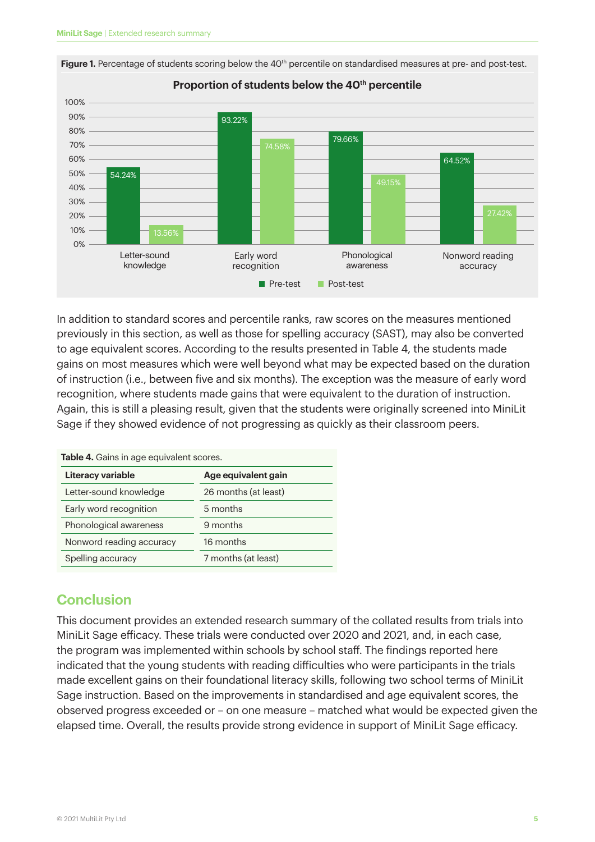

**Figure 1.** Percentage of students scoring below the 40<sup>th</sup> percentile on standardised measures at pre- and post-test.

In addition to standard scores and percentile ranks, raw scores on the measures mentioned previously in this section, as well as those for spelling accuracy (SAST), may also be converted to age equivalent scores. According to the results presented in Table 4, the students made gains on most measures which were well beyond what may be expected based on the duration of instruction (i.e., between five and six months). The exception was the measure of early word recognition, where students made gains that were equivalent to the duration of instruction. Again, this is still a pleasing result, given that the students were originally screened into MiniLit Sage if they showed evidence of not progressing as quickly as their classroom peers.

| Table 4. Gains in age equivalent scores. |                      |  |  |  |  |
|------------------------------------------|----------------------|--|--|--|--|
| Literacy variable                        | Age equivalent gain  |  |  |  |  |
| Letter-sound knowledge                   | 26 months (at least) |  |  |  |  |
| Early word recognition                   | 5 months             |  |  |  |  |
| Phonological awareness                   | 9 months             |  |  |  |  |
| Nonword reading accuracy                 | 16 months            |  |  |  |  |
| Spelling accuracy                        | 7 months (at least)  |  |  |  |  |

#### **Conclusion**

This document provides an extended research summary of the collated results from trials into MiniLit Sage efficacy. These trials were conducted over 2020 and 2021, and, in each case, the program was implemented within schools by school staff. The findings reported here indicated that the young students with reading difficulties who were participants in the trials made excellent gains on their foundational literacy skills, following two school terms of MiniLit Sage instruction. Based on the improvements in standardised and age equivalent scores, the observed progress exceeded or – on one measure – matched what would be expected given the elapsed time. Overall, the results provide strong evidence in support of MiniLit Sage efficacy.